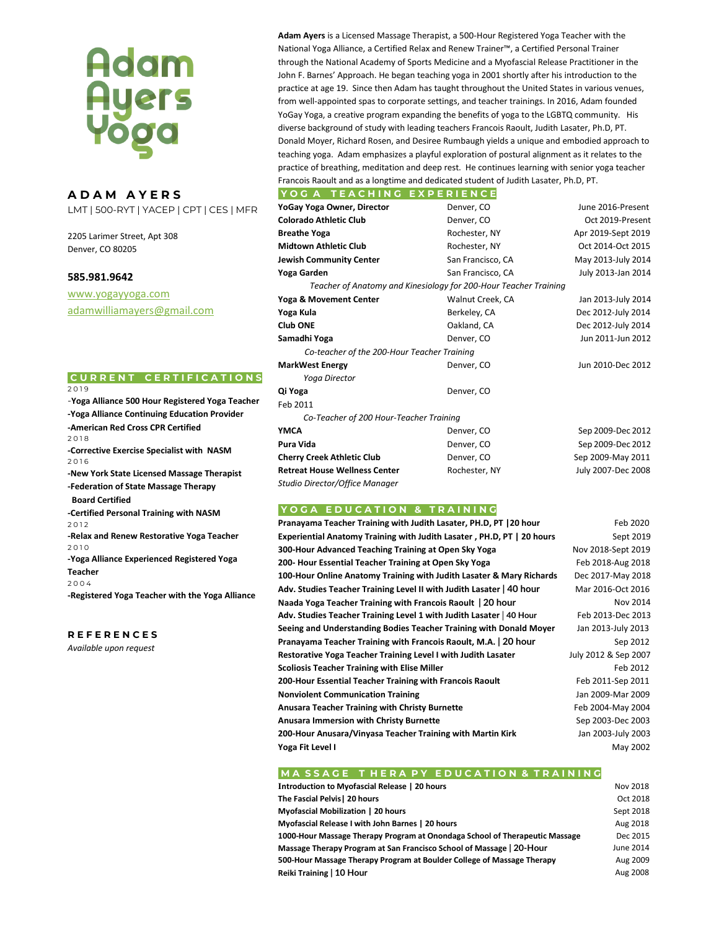# **Adam<br>Ayers<br>Yoga**

# **A D A M A Y E R S**

LMT | 500-RYT | YACEP | CPT | CES | MFR

2205 Larimer Street, Apt 308 Denver, CO 80205

# **585.981.9642**

[www.yogayyoga.com](http://www.yogayyoga.com/) [adamwilliamayers@gmail.com](mailto:adamwilliamayers@gmail.com)

# **C U R R E N T C E R T I F I C A T I O N S**

2 0 1 9

-**Yoga Alliance 500 Hour Registered Yoga Teacher -Yoga Alliance Continuing Education Provider -American Red Cross CPR Certified**  2 0 1 8 **-Corrective Exercise Specialist with NASM** 2 0 1 6 **-New York State Licensed Massage Therapist -Federation of State Massage Therapy Board Certified -Certified Personal Training with NASM** 2 0 1 2 **-Relax and Renew Restorative Yoga Teacher** 2 0 1 0 **-Yoga Alliance Experienced Registered Yoga Teacher** 2 0 0 4 **-Registered Yoga Teacher with the Yoga Alliance**

### **R E F E R E N C E S**

*Available upon request* 

**Adam Ayers** is a Licensed Massage Therapist, a 500-Hour Registered Yoga Teacher with the National Yoga Alliance, a Certified Relax and Renew Trainer™, a Certified Personal Trainer through the National Academy of Sports Medicine and a Myofascial Release Practitioner in the John F. Barnes' Approach. He began teaching yoga in 2001 shortly after his introduction to the practice at age 19. Since then Adam has taught throughout the United States in various venues, from well-appointed spas to corporate settings, and teacher trainings. In 2016, Adam founded YoGay Yoga, a creative program expanding the benefits of yoga to the LGBTQ community. His diverse background of study with leading teachers Francois Raoult, Judith Lasater, Ph.D, PT. Donald Moyer, Richard Rosen, and Desiree Rumbaugh yields a unique and embodied approach to teaching yoga. Adam emphasizes a playful exploration of postural alignment as it relates to the practice of breathing, meditation and deep rest. He continues learning with senior yoga teacher Francois Raoult and as a longtime and dedicated student of Judith Lasater, Ph.D, PT.

| YoGay Yoga Owner, Director                                       | Denver, CO        | June 2016-Present  |
|------------------------------------------------------------------|-------------------|--------------------|
| <b>Colorado Athletic Club</b>                                    | Denver, CO        | Oct 2019-Present   |
| <b>Breathe Yoga</b>                                              | Rochester, NY     | Apr 2019-Sept 2019 |
| <b>Midtown Athletic Club</b>                                     | Rochester, NY     | Oct 2014-Oct 2015  |
| <b>Jewish Community Center</b>                                   | San Francisco, CA | May 2013-July 2014 |
| Yoga Garden                                                      | San Francisco, CA | July 2013-Jan 2014 |
| Teacher of Anatomy and Kinesiology for 200-Hour Teacher Training |                   |                    |
| Yoga & Movement Center                                           | Walnut Creek, CA  | Jan 2013-July 2014 |
| Yoga Kula                                                        | Berkeley, CA      | Dec 2012-July 2014 |
| <b>Club ONE</b>                                                  | Oakland, CA       | Dec 2012-July 2014 |
| Samadhi Yoga                                                     | Denver, CO        | Jun 2011-Jun 2012  |
| Co-teacher of the 200-Hour Teacher Training                      |                   |                    |
| <b>MarkWest Energy</b>                                           | Denver, CO        | Jun 2010-Dec 2012  |
| Yoga Director                                                    |                   |                    |
| Qi Yoga                                                          | Denver, CO        |                    |
| Feb 2011                                                         |                   |                    |
| Co-Teacher of 200 Hour-Teacher Training                          |                   |                    |
| <b>YMCA</b>                                                      | Denver, CO        | Sep 2009-Dec 2012  |
| Pura Vida                                                        | Denver, CO        | Sep 2009-Dec 2012  |
| <b>Cherry Creek Athletic Club</b>                                | Denver, CO        | Sep 2009-May 2011  |
| <b>Retreat House Wellness Center</b>                             | Rochester, NY     | July 2007-Dec 2008 |
| Studio Director/Office Manager                                   |                   |                    |

### **Y O G A E D U C A T I O N & T R A I N I N G**

| Pranayama Teacher Training with Judith Lasater, PH.D, PT   20 hour     | Feb 2020             |
|------------------------------------------------------------------------|----------------------|
| Experiential Anatomy Training with Judith Lasater, PH.D, PT   20 hours | Sept 2019            |
| 300-Hour Advanced Teaching Training at Open Sky Yoga                   | Nov 2018-Sept 2019   |
| 200- Hour Essential Teacher Training at Open Sky Yoga                  | Feb 2018-Aug 2018    |
| 100-Hour Online Anatomy Training with Judith Lasater & Mary Richards   | Dec 2017-May 2018    |
| Adv. Studies Teacher Training Level II with Judith Lasater   40 hour   | Mar 2016-Oct 2016    |
| Naada Yoga Teacher Training with Francois Raoult   20 hour             | <b>Nov 2014</b>      |
| Adv. Studies Teacher Training Level 1 with Judith Lasater   40 Hour    | Feb 2013-Dec 2013    |
| Seeing and Understanding Bodies Teacher Training with Donald Moyer     | Jan 2013-July 2013   |
| Pranayama Teacher Training with Francois Raoult, M.A. 20 hour          | Sep 2012             |
| Restorative Yoga Teacher Training Level I with Judith Lasater          | July 2012 & Sep 2007 |
| <b>Scoliosis Teacher Training with Elise Miller</b>                    | Feb 2012             |
| 200-Hour Essential Teacher Training with Francois Raoult               | Feb 2011-Sep 2011    |
| <b>Nonviolent Communication Training</b>                               | Jan 2009-Mar 2009    |
| <b>Anusara Teacher Training with Christy Burnette</b>                  | Feb 2004-May 2004    |
| <b>Anusara Immersion with Christy Burnette</b>                         | Sep 2003-Dec 2003    |
| 200-Hour Anusara/Vinyasa Teacher Training with Martin Kirk             | Jan 2003-July 2003   |
| Yoga Fit Level I                                                       | May 2002             |

# **MA SSAGE THERA PY EDUCATION & TRAINING**

| Introduction to Myofascial Release   20 hours                               | Nov 2018  |
|-----------------------------------------------------------------------------|-----------|
| The Fascial Pelvis   20 hours                                               | Oct 2018  |
| <b>Mvofascial Mobilization 1 20 hours</b>                                   | Sept 2018 |
| Myofascial Release I with John Barnes   20 hours                            | Aug 2018  |
| 1000-Hour Massage Therapy Program at Onondaga School of Therapeutic Massage | Dec 2015  |
| Massage Therapy Program at San Francisco School of Massage   20-Hour        | June 2014 |
| 500-Hour Massage Therapy Program at Boulder College of Massage Therapy      | Aug 2009  |
| Reiki Training   10 Hour                                                    | Aug 2008  |